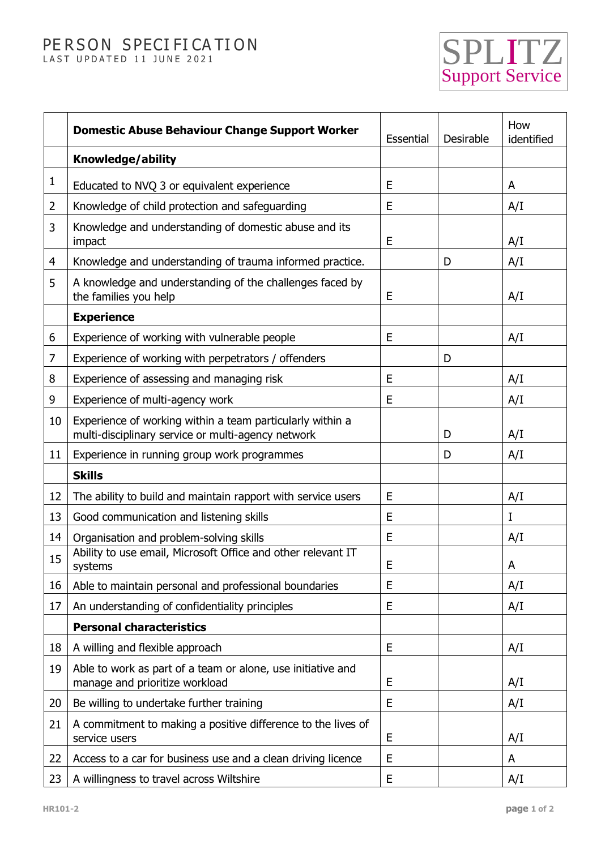## PE R SON SPECI FI CA TION PERSON SPECIFICATION SPECIFICATION



|    | <b>Domestic Abuse Behaviour Change Support Worker</b>                                                           | Essential | Desirable | How<br>identified |
|----|-----------------------------------------------------------------------------------------------------------------|-----------|-----------|-------------------|
|    | Knowledge/ability                                                                                               |           |           |                   |
| 1  | Educated to NVQ 3 or equivalent experience                                                                      | E         |           | A                 |
| 2  | Knowledge of child protection and safeguarding                                                                  | E         |           | A/I               |
| 3  | Knowledge and understanding of domestic abuse and its<br>impact                                                 | E         |           | A/I               |
| 4  | Knowledge and understanding of trauma informed practice.                                                        |           | D         | A/I               |
| 5  | A knowledge and understanding of the challenges faced by<br>the families you help                               | E         |           | A/I               |
|    | <b>Experience</b>                                                                                               |           |           |                   |
| 6  | Experience of working with vulnerable people                                                                    | E         |           | A/I               |
| 7  | Experience of working with perpetrators / offenders                                                             |           | D         |                   |
| 8  | Experience of assessing and managing risk                                                                       | E         |           | A/I               |
| 9  | Experience of multi-agency work                                                                                 | E         |           | A/I               |
| 10 | Experience of working within a team particularly within a<br>multi-disciplinary service or multi-agency network |           | D         | A/I               |
| 11 | Experience in running group work programmes                                                                     |           | D         | A/I               |
|    | <b>Skills</b>                                                                                                   |           |           |                   |
| 12 | The ability to build and maintain rapport with service users                                                    | E         |           | A/I               |
| 13 | Good communication and listening skills                                                                         | E         |           | I                 |
| 14 | Organisation and problem-solving skills                                                                         | E         |           | A/I               |
| 15 | Ability to use email, Microsoft Office and other relevant IT<br>systems                                         | E         |           | A                 |
| 16 | Able to maintain personal and professional boundaries                                                           | Е         |           | A/I               |
| 17 | An understanding of confidentiality principles                                                                  | E         |           | A/I               |
|    | <b>Personal characteristics</b>                                                                                 |           |           |                   |
| 18 | A willing and flexible approach                                                                                 | E         |           | A/I               |
| 19 | Able to work as part of a team or alone, use initiative and<br>manage and prioritize workload                   | Ε         |           | A/I               |
| 20 | Be willing to undertake further training                                                                        | E         |           | A/I               |
| 21 | A commitment to making a positive difference to the lives of<br>service users                                   | E         |           | A/I               |
| 22 | Access to a car for business use and a clean driving licence                                                    | E         |           | A                 |
| 23 | A willingness to travel across Wiltshire                                                                        | E         |           | A/I               |